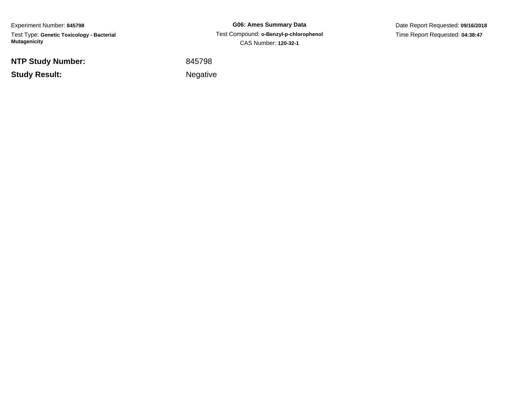Experiment Number: **845798**Test Type: **Genetic Toxicology - Bacterial Mutagenicity**

**NTP Study Number:**

**Study Result:**

**G06: Ames Summary Data** Test Compound: **o-Benzyl-p-chlorophenol** CAS Number: **120-32-1**

Date Report Requested: **09/16/2018**Time Report Requested: **04:38:47**

<sup>845798</sup>

Negative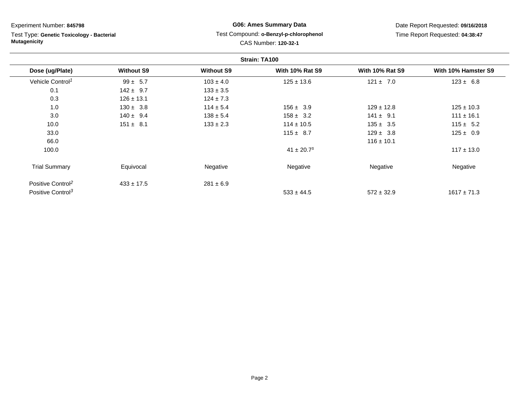Test Type: **Genetic Toxicology - Bacterial Mutagenicity**

## **G06: Ames Summary Data** Test Compound: **o-Benzyl-p-chlorophenol**CAS Number: **120-32-1**

|                               |                   | Strain: TA100     |                            |                        |                     |
|-------------------------------|-------------------|-------------------|----------------------------|------------------------|---------------------|
| Dose (ug/Plate)               | <b>Without S9</b> | <b>Without S9</b> | <b>With 10% Rat S9</b>     | <b>With 10% Rat S9</b> | With 10% Hamster S9 |
| Vehicle Control <sup>1</sup>  | $99 \pm 5.7$      | $103 \pm 4.0$     | $125 \pm 13.6$             | $121 \pm 7.0$          | $123 \pm 6.8$       |
| 0.1                           | $142 \pm 9.7$     | $133 \pm 3.5$     |                            |                        |                     |
| 0.3                           | $126 \pm 13.1$    | $124 \pm 7.3$     |                            |                        |                     |
| 1.0                           | $130 \pm 3.8$     | $114 \pm 5.4$     | $156 \pm 3.9$              | $129 \pm 12.8$         | $125 \pm 10.3$      |
| 3.0                           | $140 \pm 9.4$     | $138 \pm 5.4$     | $158 \pm 3.2$              | $141 \pm 9.1$          | $111 \pm 16.1$      |
| 10.0                          | $151 \pm 8.1$     | $133 \pm 2.3$     | $114 \pm 10.5$             | $135 \pm 3.5$          | $115 \pm 5.2$       |
| 33.0                          |                   |                   | $115 \pm 8.7$              | $129 \pm 3.8$          | $125 \pm 0.9$       |
| 66.0                          |                   |                   |                            | $116 \pm 10.1$         |                     |
| 100.0                         |                   |                   | $41 \pm 20.7$ <sup>s</sup> |                        | $117 \pm 13.0$      |
| <b>Trial Summary</b>          | Equivocal         | Negative          | Negative                   | Negative               | Negative            |
| Positive Control <sup>2</sup> | $433 \pm 17.5$    | $281 \pm 6.9$     |                            |                        |                     |
| Positive Control <sup>3</sup> |                   |                   | $533 \pm 44.5$             | $572 \pm 32.9$         | $1617 \pm 71.3$     |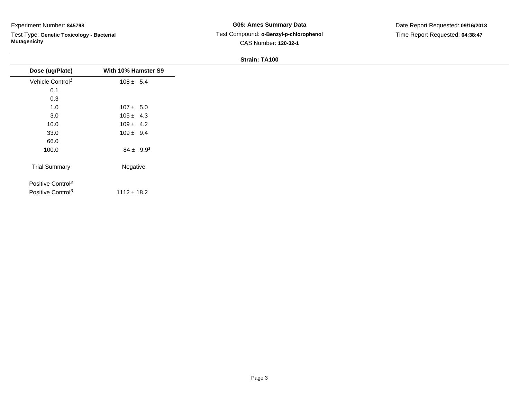Test Type: **Genetic Toxicology - Bacterial Mutagenicity**

## **G06: Ames Summary Data** Test Compound: **o-Benzyl-p-chlorophenol**CAS Number: **120-32-1**

| Dose (ug/Plate)<br>Vehicle Control <sup>1</sup><br>0.1<br>0.3<br>1.0<br>3.0<br>10.0 | With 10% Hamster S9 |  |
|-------------------------------------------------------------------------------------|---------------------|--|
|                                                                                     |                     |  |
|                                                                                     | $108 \pm 5.4$       |  |
|                                                                                     |                     |  |
|                                                                                     |                     |  |
|                                                                                     | $107 \pm 5.0$       |  |
|                                                                                     | $105 \pm 4.3$       |  |
|                                                                                     | $109 \pm 4.2$       |  |
| 33.0                                                                                | $109 \pm 9.4$       |  |
| 66.0                                                                                |                     |  |
| 100.0                                                                               | $84 \pm 9.9^s$      |  |
| <b>Trial Summary</b>                                                                | Negative            |  |
| Positive Control <sup>2</sup>                                                       |                     |  |
| Positive Control <sup>3</sup>                                                       | $1112 \pm 18.2$     |  |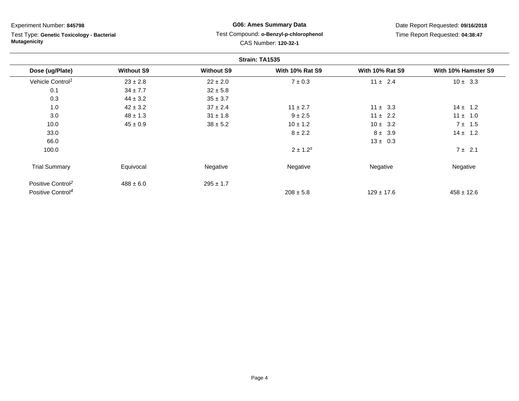Test Type: **Genetic Toxicology - Bacterial Mutagenicity**

## **G06: Ames Summary Data** Test Compound: **o-Benzyl-p-chlorophenol**CAS Number: **120-32-1**

|                               | Strain: TA1535    |                   |                        |                        |                     |
|-------------------------------|-------------------|-------------------|------------------------|------------------------|---------------------|
| Dose (ug/Plate)               | <b>Without S9</b> | <b>Without S9</b> | <b>With 10% Rat S9</b> | <b>With 10% Rat S9</b> | With 10% Hamster S9 |
| Vehicle Control <sup>1</sup>  | $23 \pm 2.8$      | $22 \pm 2.0$      | $7 \pm 0.3$            | $11 \pm 2.4$           | $10 \pm 3.3$        |
| 0.1                           | $34 \pm 7.7$      | $32 \pm 5.8$      |                        |                        |                     |
| 0.3                           | $44 \pm 3.2$      | $35 \pm 3.7$      |                        |                        |                     |
| 1.0                           | $42 \pm 3.2$      | $37 \pm 2.4$      | $11 \pm 2.7$           | $11 \pm 3.3$           | $14 \pm 1.2$        |
| 3.0                           | $48 \pm 1.3$      | $31 \pm 1.8$      | $9 \pm 2.5$            | $11 \pm 2.2$           | $11 \pm 1.0$        |
| 10.0                          | $45 \pm 0.9$      | $38 \pm 5.2$      | $10 \pm 1.2$           | $10 \pm 3.2$           | $7 \pm 1.5$         |
| 33.0                          |                   |                   | $8 \pm 2.2$            | $8 \pm 3.9$            | $14 \pm 1.2$        |
| 66.0                          |                   |                   |                        | $13 \pm 0.3$           |                     |
| 100.0                         |                   |                   | $2 \pm 1.2^s$          |                        | $7 \pm 2.1$         |
| <b>Trial Summary</b>          | Equivocal         | Negative          | Negative               | Negative               | Negative            |
| Positive Control <sup>2</sup> | $488 \pm 6.0$     | $295 \pm 1.7$     |                        |                        |                     |
| Positive Control <sup>4</sup> |                   |                   | $208 \pm 5.8$          | $129 \pm 17.6$         | $458 \pm 12.6$      |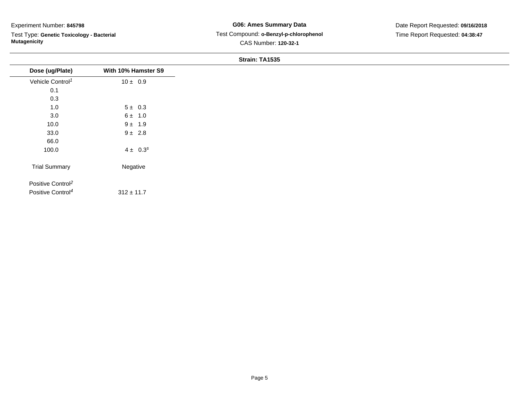Test Type: **Genetic Toxicology - Bacterial Mutagenicity**

## **G06: Ames Summary Data** Test Compound: **o-Benzyl-p-chlorophenol**CAS Number: **120-32-1**

Date Report Requested: **09/16/2018**Time Report Requested: **04:38:47**

|                               |                     | Strain: TA1333 |
|-------------------------------|---------------------|----------------|
| Dose (ug/Plate)               | With 10% Hamster S9 |                |
| Vehicle Control <sup>1</sup>  | $10 \pm 0.9$        |                |
| 0.1                           |                     |                |
| 0.3                           |                     |                |
| 1.0                           | $5 \pm 0.3$         |                |
| $3.0\,$                       | $6 \pm 1.0$         |                |
| 10.0                          | $9 \pm 1.9$         |                |
| 33.0                          | $9 \pm 2.8$         |                |
| 66.0                          |                     |                |
| 100.0                         | $4 \pm 0.3^{s}$     |                |
| <b>Trial Summary</b>          | Negative            |                |
| Positive Control <sup>2</sup> |                     |                |
| Positive Control <sup>4</sup> | $312 \pm 11.7$      |                |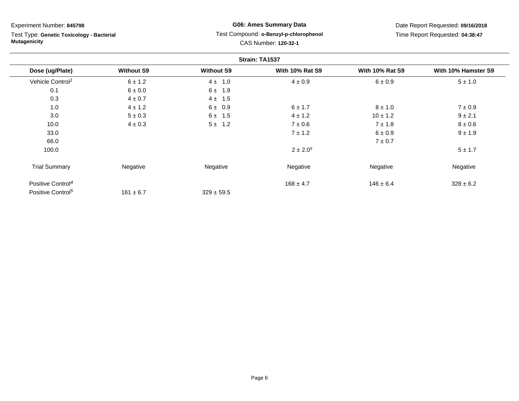Test Type: **Genetic Toxicology - Bacterial Mutagenicity**

## **G06: Ames Summary Data** Test Compound: **o-Benzyl-p-chlorophenol**CAS Number: **120-32-1**

|                               | Strain: TA1537    |                   |                        |                        |                     |
|-------------------------------|-------------------|-------------------|------------------------|------------------------|---------------------|
| Dose (ug/Plate)               | <b>Without S9</b> | <b>Without S9</b> | <b>With 10% Rat S9</b> | <b>With 10% Rat S9</b> | With 10% Hamster S9 |
| Vehicle Control <sup>1</sup>  | $6 \pm 1.2$       | $4 \pm 1.0$       | $4 \pm 0.9$            | 6 ± 0.9                | $5 \pm 1.0$         |
| 0.1                           | $6 \pm 0.0$       | 6 ±<br>1.9        |                        |                        |                     |
| 0.3                           | $4 \pm 0.7$       | $4 \pm 1.5$       |                        |                        |                     |
| 1.0                           | $4 \pm 1.2$       | $6 \pm 0.9$       | 6 ± 1.7                | $8 \pm 1.0$            | $7 \pm 0.9$         |
| 3.0                           | $5 \pm 0.3$       | $6 \pm 1.5$       | $4 \pm 1.2$            | $10 \pm 1.2$           | $9 \pm 2.1$         |
| 10.0                          | $4 \pm 0.3$       | 5±<br>1.2         | $7 \pm 0.6$            | $7 \pm 1.8$            | $8 \pm 0.6$         |
| 33.0                          |                   |                   | $7 \pm 1.2$            | 6 ± 0.9                | $9 \pm 1.9$         |
| 66.0                          |                   |                   |                        | $7\pm0.7$              |                     |
| 100.0                         |                   |                   | $2 \pm 2.0^s$          |                        | $5 \pm 1.7$         |
| <b>Trial Summary</b>          | Negative          | Negative          | Negative               | Negative               | Negative            |
| Positive Control <sup>4</sup> |                   |                   | $168 \pm 4.7$          | $146 \pm 6.4$          | $328 \pm 6.2$       |
| Positive Control <sup>5</sup> | $161 \pm 6.7$     | $329 \pm 59.5$    |                        |                        |                     |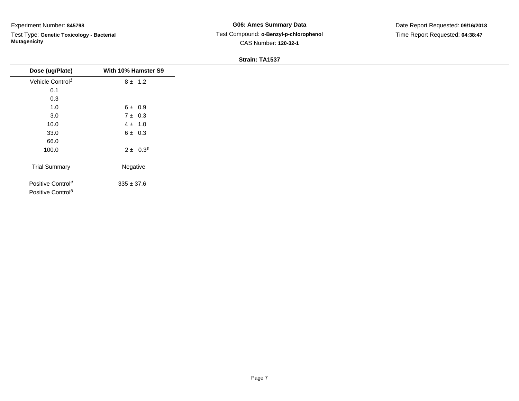Test Type: **Genetic Toxicology - Bacterial Mutagenicity**

## **G06: Ames Summary Data** Test Compound: **o-Benzyl-p-chlorophenol**CAS Number: **120-32-1**

Date Report Requested: **09/16/2018**Time Report Requested: **04:38:47**

|                                                                |                     | $\overline{S}$ train: TA1537 |
|----------------------------------------------------------------|---------------------|------------------------------|
| Dose (ug/Plate)                                                | With 10% Hamster S9 |                              |
| Vehicle Control <sup>1</sup>                                   | $8 \pm 1.2$         |                              |
| 0.1                                                            |                     |                              |
| 0.3                                                            |                     |                              |
| 1.0                                                            | $6 \pm 0.9$         |                              |
| 3.0                                                            | $7 \pm 0.3$         |                              |
| 10.0                                                           | $4 \pm 1.0$         |                              |
| 33.0                                                           | $6 \pm 0.3$         |                              |
| 66.0                                                           |                     |                              |
| 100.0                                                          | $2 \pm 0.3^s$       |                              |
| <b>Trial Summary</b>                                           | Negative            |                              |
| Positive Control <sup>4</sup><br>Positive Control <sup>5</sup> | $335 \pm 37.6$      |                              |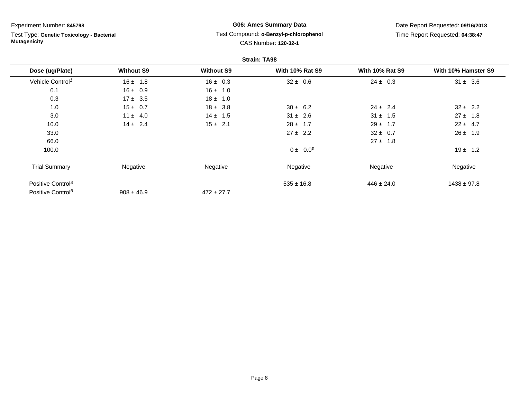Test Type: **Genetic Toxicology - Bacterial Mutagenicity**

## **G06: Ames Summary Data** Test Compound: **o-Benzyl-p-chlorophenol**CAS Number: **120-32-1**

|                               |                   |                   | <b>Strain: TA98</b>    |                        |                     |
|-------------------------------|-------------------|-------------------|------------------------|------------------------|---------------------|
| Dose (ug/Plate)               | <b>Without S9</b> | <b>Without S9</b> | <b>With 10% Rat S9</b> | <b>With 10% Rat S9</b> | With 10% Hamster S9 |
| Vehicle Control <sup>1</sup>  | $16 \pm 1.8$      | $16 \pm 0.3$      | $32 \pm 0.6$           | $24 \pm 0.3$           | $31 \pm 3.6$        |
| 0.1                           | $16 \pm 0.9$      | $16 \pm 1.0$      |                        |                        |                     |
| 0.3                           | $17 \pm 3.5$      | $18 \pm 1.0$      |                        |                        |                     |
| 1.0                           | $15 \pm 0.7$      | $18 \pm 3.8$      | $30 \pm 6.2$           | $24 \pm 2.4$           | $32 \pm 2.2$        |
| 3.0                           | $11 \pm 4.0$      | $14 \pm 1.5$      | $31 \pm 2.6$           | $31 \pm 1.5$           | $27 \pm 1.8$        |
| 10.0                          | $14 \pm 2.4$      | $15 \pm 2.1$      | $28 \pm 1.7$           | $29 \pm 1.7$           | $22 \pm 4.7$        |
| 33.0                          |                   |                   | $27 \pm 2.2$           | $32 \pm 0.7$           | $26 \pm 1.9$        |
| 66.0                          |                   |                   |                        | $27 \pm 1.8$           |                     |
| 100.0                         |                   |                   | $0 \pm 0.0^s$          |                        | $19 \pm 1.2$        |
| <b>Trial Summary</b>          | Negative          | Negative          | Negative               | Negative               | Negative            |
| Positive Control <sup>3</sup> |                   |                   | $535 \pm 16.8$         | $446 \pm 24.0$         | $1438 \pm 97.8$     |
| Positive Control <sup>6</sup> | $908 \pm 46.9$    | $472 \pm 27.7$    |                        |                        |                     |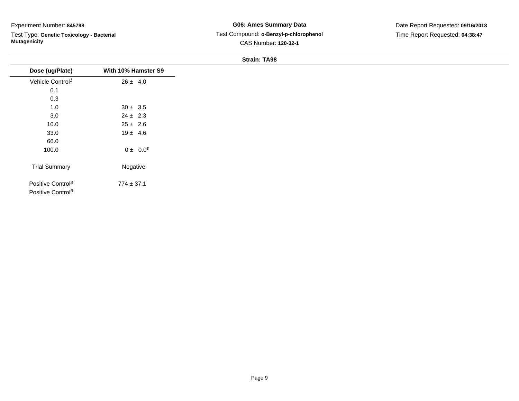$\overline{\phantom{a}}$ 

Test Type: **Genetic Toxicology - Bacterial Mutagenicity**

## **G06: Ames Summary Data** Test Compound: **o-Benzyl-p-chlorophenol**CAS Number: **120-32-1**

|                                                                |                     | ------------- |
|----------------------------------------------------------------|---------------------|---------------|
| Dose (ug/Plate)                                                | With 10% Hamster S9 |               |
| Vehicle Control <sup>1</sup>                                   | $26 \pm 4.0$        |               |
| 0.1                                                            |                     |               |
| 0.3                                                            |                     |               |
| $1.0$                                                          | $30 \pm 3.5$        |               |
| 3.0                                                            | $24 \pm 2.3$        |               |
| 10.0                                                           | $25 \pm 2.6$        |               |
| 33.0                                                           | $19 \pm 4.6$        |               |
| 66.0                                                           |                     |               |
| 100.0                                                          | $0 \pm 0.0^s$       |               |
| <b>Trial Summary</b>                                           | Negative            |               |
| Positive Control <sup>3</sup><br>Positive Control <sup>6</sup> | $774 \pm 37.1$      |               |